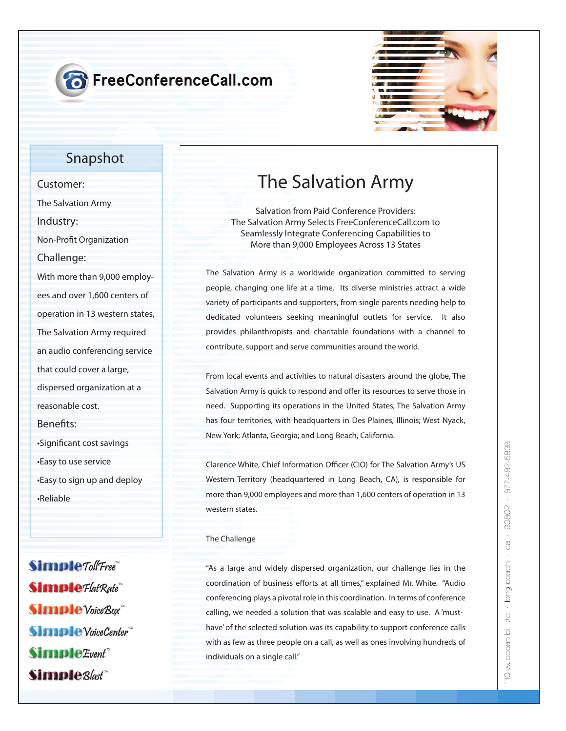## **8** FreeConferenceCall.com



#### **Snapshot**

**Customer: The Salvation Army Industry: Non-Profit Organization Challenge: With more than 9,000 employees and over 1,600 centers of operation in 13 western states, The Salvation Army required an audio conferencing service that could cover a large, dispersed organization at a reasonable cost. Benets: •Signicant cost savings •Easy to use service •Easy to sign up and deploy •Reliable**

Simple Toll Free" **Simple** Flat Rate **Simple** Voice Box **Simple** VoiceCenter Simple Event<sup>\*\*</sup> Simple<sub>Blast</sub>

### **The Salvation Army**

**Salvation from Paid Conference Providers: The Salvation Army Selects FreeConferenceCall.com to Seamlessly Integrate Conferencing Capabilities to More than 9,000 Employees Across 13 States** 

The Salvation Army is a worldwide organization committed to serving people, changing one life at a time. Its diverse ministries attract a wide variety of participants and supporters, from single parents needing help to dedicated volunteers seeking meaningful outlets for service. It also provides philanthropists and charitable foundations with a channel to contribute, support and serve communities around the world.

From local events and activities to natural disasters around the globe, The Salvation Army is quick to respond and offer its resources to serve those in need. Supporting its operations in the United States, The Salvation Army has four territories, with headquarters in Des Plaines, Illinois; West Nyack, New York; Atlanta, Georgia; and Long Beach, California.

Clarence White, Chief Information Officer (CIO) for The Salvation Army's US Western Territory (headquartered in Long Beach, CA), is responsible for more than 9,000 employees and more than 1,600 centers of operation in 13 western states.

The Challenge

"As a large and widely dispersed organization, our challenge lies in the coordination of business efforts at all times," explained Mr. White. "Audio conferencing plays a pivotal role in this coordination. In terms of conference calling, we needed a solution that was scalable and easy to use. A 'musthave' of the selected solution was its capability to support conference calls with as few as three people on a call, as well as ones involving hundreds of individuals on a single call."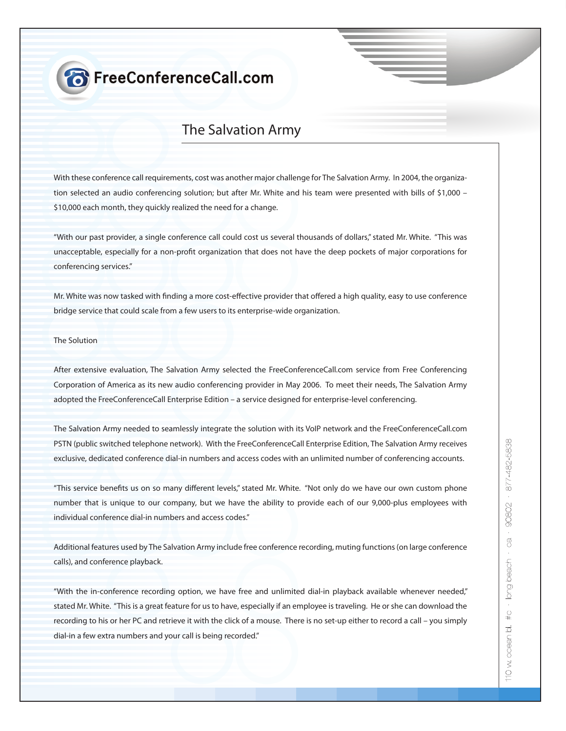## **8** FreeConferenceCall.com

### **The Salvation Army**

With these conference call requirements, cost was another major challenge for The Salvation Army. In 2004, the organization selected an audio conferencing solution; but after Mr. White and his team were presented with bills of \$1,000 – \$10,000 each month, they quickly realized the need for a change.

"With our past provider, a single conference call could cost us several thousands of dollars," stated Mr. White. "This was unacceptable, especially for a non-profit organization that does not have the deep pockets of major corporations for conferencing services."

Mr. White was now tasked with finding a more cost-effective provider that offered a high quality, easy to use conference bridge service that could scale from a few users to its enterprise-wide organization.

#### The Solution

After extensive evaluation, The Salvation Army selected the FreeConferenceCall.com service from Free Conferencing Corporation of America as its new audio conferencing provider in May 2006. To meet their needs, The Salvation Army adopted the FreeConferenceCall Enterprise Edition – a service designed for enterprise-level conferencing.

The Salvation Army needed to seamlessly integrate the solution with its VoIP network and the FreeConferenceCall.com PSTN (public switched telephone network). With the FreeConferenceCall Enterprise Edition, The Salvation Army receives exclusive, dedicated conference dial-in numbers and access codes with an unlimited number of conferencing accounts.

"This service benefits us on so many different levels," stated Mr. White. "Not only do we have our own custom phone number that is unique to our company, but we have the ability to provide each of our 9,000-plus employees with individual conference dial-in numbers and access codes."

Additional features used by The Salvation Army include free conference recording, muting functions (on large conference calls), and conference playback.

"With the in-conference recording option, we have free and unlimited dial-in playback available whenever needed," stated Mr. White. "This is a great feature for us to have, especially if an employee is traveling. He or she can download the recording to his or her PC and retrieve it with the click of a mouse. There is no set-up either to record a call – you simply dial-in a few extra numbers and your call is being recorded."